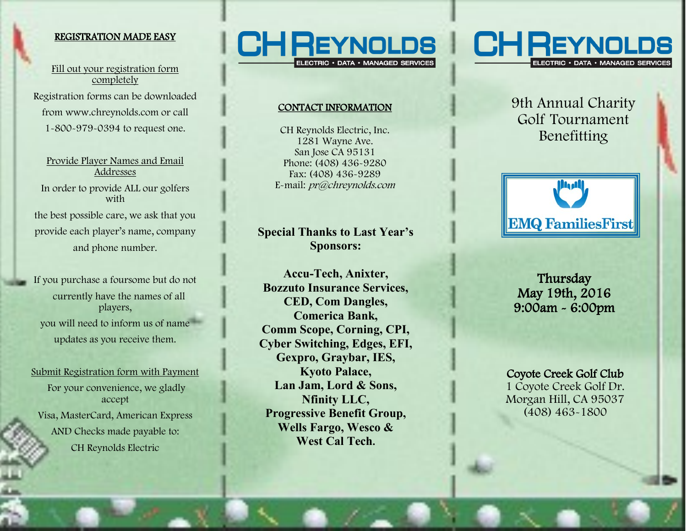## REGISTRATION MADE EASY

Fill out your registration form completely Registration forms can be downloaded from www.chreynolds.com or call 1-800-979-0394 to request one.

Provide Player Names and Email Addresses In order to provide ALL our golfers with the best possible care, we ask that you provide each player's name, company and phone number.

If you purchase a foursome but do not currently have the names of all players, you will need to inform us of name updates as you receive them.

Submit Registration form with Payment For your convenience, we gladly accept Visa, MasterCard, American Express AND Checks made payable to: CH Reynolds Electric



## CONTACT INFORMATION

CH Reynolds Electric, Inc. 1281 Wayne Ave. San Jose CA 95131 Phone: (408) 436 -9280 Fax: (408) 436 -9289 E-mail: *pr@chreynolds.com* 

# **Special Thanks to Last Year's Sponsors:**

**Accu -Tech, Anixter, Bozzuto Insurance Services, CED, Com Dangles, Comerica Bank, Comm Scope, Corning, CPI, Cyber Switching, Edges, EFI, Gexpro, Graybar, IES, Kyoto Palace, Lan Jam, Lord & Sons, Nfinity LLC, Progressive Benefit Group, Wells Fargo, Wesco & West Cal Tech.**  FORMATION<br>
Electric, Inc.<br>
We Ave.<br>
A 95131<br>
436-9289<br>
436-9289<br>
at 462-9289<br>
at 6 Last Year's<br> **EMQ Families Environmentals Contains:**<br> **EMQ Families Environmentals and Services,**<br> **Contains:**<br> **Contains:**<br> **Contains:**<br>



# 9th Annual Charity Golf Tournament Benefitting



**Thursday** May 19th, 2016 9:00am - 6:00pm

Coyote Creek Golf Club 1 Coyote Creek Golf Dr.

Morgan Hill, CA 95037 (408) 463